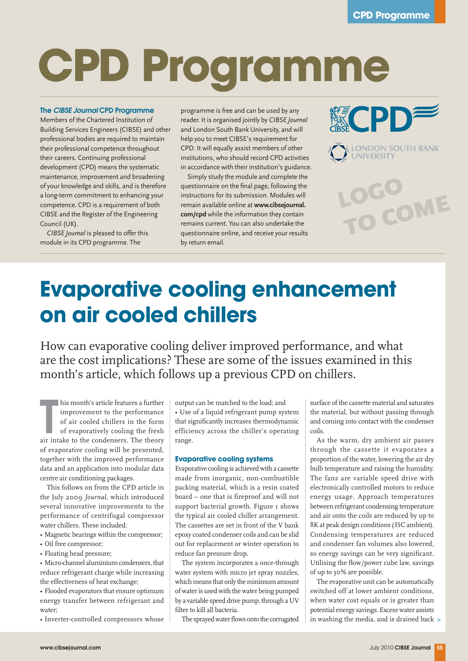# **CPD Programme**

#### The *CIBSE Journal* CPD Programme

Members of the Chartered Institution of Building Services Engineers (CIBSE) and other professional bodies are required to maintain their professional competence throughout their careers. Continuing professional development (CPD) means the systematic maintenance, improvement and broadening of your knowledge and skills, and is therefore a long-term commitment to enhancing your competence. CPD is a requirement of both CIBSE and the Register of the Engineering Council (UK).

*CIBSE Journal* is pleased to offer this module in its CPD programme. The

programme is free and can be used by any reader. It is organised jointly by *CIBSE Journal* and London South Bank University, and will help you to meet CIBSE's requirement for CPD. It will equally assist members of other institutions, who should record CPD activities in accordance with their institution's guidance.

Simply study the module and complete the questionnaire on the final page, following the instructions for its submission. Modules will remain available online at **www.cibsejournal. com/cpd** while the information they contain remains current. You can also undertake the questionnaire online, and receive your results by return email.





TO COME

LOGO

### **Evaporative cooling enhancement on air cooled chillers**

How can evaporative cooling deliver improved performance, and what are the cost implications? These are some of the issues examined in this month's article, which follows up a previous CPD on chillers.

his month's article features a further<br>improvement to the performance<br>of air cooled chillers in the form<br>of evaporatively cooling the fresh<br>air intake to the condensers. The theory his month's article features a further improvement to the performance of air cooled chillers in the form of evaporatively cooling the fresh of evaporative cooling will be presented, together with the improved performance data and an application into modular data centre air conditioning packages.

This follows on from the CPD article in the July 2009 *Journal*, which introduced several innovative improvements to the performance of centrifugal compressor water chillers. These included:

- Magnetic bearings within the compressor;
- Oil free compressor;
- Floating head pressure;

• Micro-channel aluminium condensers, that reduce refrigerant charge while increasing the effectiveness of heat exchange;

• Flooded evaporators that ensure optimum energy transfer between refrigerant and water;

• Inverter-controlled compressors whose

output can be matched to the load; and • Use of a liquid refrigerant pump system that significantly increases thermodynamic efficiency across the chiller's operating range.

#### **Evaporative cooling systems**

Evaporative cooling is achieved with a cassette made from inorganic, non-combustible packing material, which is a resin coated board – one that is fireproof and will not support bacterial growth. Figure 1 shows the typical air cooled chiller arrangement. The cassettes are set in front of the V bank epoxy coated condenser coils and can be slid out for replacement or winter operation to reduce fan pressure drop.

The system incorporates a once-through water system with micro jet spray nozzles, which means that only the minimum amount of water is used with the water being pumped by a variable speed drive pump, through a UV filter to kill all bacteria.

The sprayed water flows onto the corrugated

surface of the cassette material and saturates the material, but without passing through and coming into contact with the condenser coils.

As the warm, dry ambient air passes through the cassette it evaporates a proportion of the water, lowering the air dry bulb temperature and raising the humidity. The fans are variable speed drive with electronically controlled motors to reduce energy usage. Approach temperatures between refrigerant condensing temperature and air onto the coils are reduced by up to 8K at peak design conditions (35C ambient). Condensing temperatures are reduced and condenser fan volumes also lowered, so energy savings can be very significant. Utilising the flow/power cube law, savings of up to 30% are possible.

The evaporative unit can be automatically switched off at lower ambient conditions, when water cost equals or is greater than potential energy savings. Excess water assists in washing the media, and is drained back >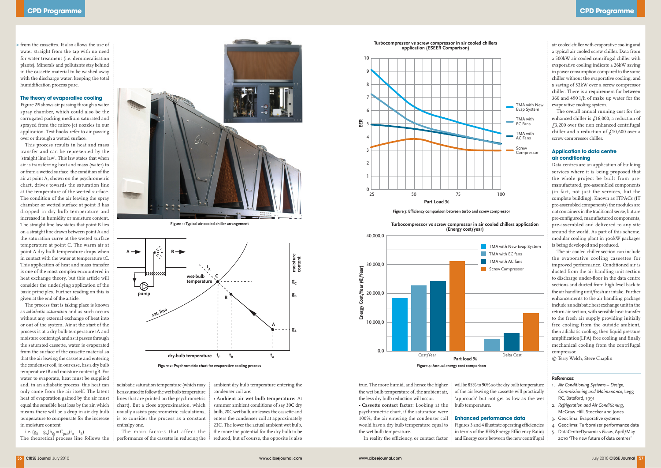from the cassettes. It also allows the use of > water straight from the tap with no need for water treatment (i.e. demineralisation plants). Minerals and pollutants stay behind in the cassette material to be washed away with the discharge water, keeping the total humidification process pure.

Figure 2<sup>[1]</sup> shows air passing through a water spray chamber, which could also be the corrugated packing medium saturated and sprayed from the micro jet nozzles in our application. Text books refer to air passing over or through a wetted surface.

#### **The theory of evaporative cooling**

This process results in heat and mass transfer and can be represented by the 'straight line law'. This law states that when air is transferring heat and mass (water) to or from a wetted surface, the condition of the air at point A, shown on the psychrometric chart, drives towards the saturation line at the temperature of the wetted surface. The condition of the air leaving the spray chamber or wetted surface at point B has dropped in dry bulb temperature and increased in humidity or moisture content. The straight line law states that point B lies on a straight line drawn between point A and the saturation curve at the wetted surface temperature at point C. The warm air at point A dry bulb temperature drops when in contact with the water at temperature tC. This application of heat and mass transfer is one of the most complex encountered in heat exchange theory, but this article will consider the underlying application of the basic principles. Further reading on this is given at the end of the article.

i.e.  $(g_B - g_A)h_{fg} = C_{pair}(t_A - t_B)$ The theoretical process line follows the

The process that is taking place is known as *adiabatic saturation* and as such occurs without any external exchange of heat into or out of the system. Air at the start of the process is at a dry bulb temperature tA and moisture content gA and as it passes through the saturated cassette, water is evaporated from the surface of the cassette material so that the air leaving the cassette and entering the condenser coil, in our case, has a dry bulb temperature tB and moisture content gB. For water to evaporate, heat must be supplied and, in an adiabatic process, this heat can only come from the air itself. The latent heat of evaporation gained by the air must equal the sensible heat loss by the air, which means there will be a drop in air dry bulb temperature to compensate for the increase in moisture content:

true. The more humid, and hence the higher the wet bulb temperature of, the ambient air, the less dry bulb reduction will occur. • **Cassette contact factor:** Looking at the psychrometric chart, if the saturation were 100%, the air entering the condenser coil would have a dry bulb temperature equal to the wet bulb temperature.

In reality the efficiency, or contact factor

will be 85% to 90% so the dry bulb temperature of the air leaving the cassette will practically 'approach' but not get as low as the wet bulb temperature.

#### **Enhanced performance data**

Figures 3 and 4 illustrate operating efficiencies in terms of the EER(Energy Efficiency Ratio) and Energy costs between the new centrifugal

adiabatic saturation temperature (which may be assumed to follow the wet bulb temperature lines that are printed on the psychrometric chart). But a close approximation, which usually assists psychrometric calculations, is to consider the process as a constant enthalpy one.

The main factors that affect the performance of the cassette in reducing the ambient dry bulb temperature entering the condenser coil are:

• **Ambient air wet bulb temperature:** At summer ambient conditions of say 30C dry bulb, 20C wet bulb, air leaves the cassette and enters the condenser coil at approximately 23C. The lower the actual ambient wet bulb, the more the potential for the dry bulb to be reduced, but of course, the opposite is also

air cooled chiller with evaporative cooling and a typical air cooled screw chiller. Data from a 500kW air cooled centrifugal chiller with evaporative cooling indicate a 26kW saving in power consumption compared to the same chiller without the evaporative cooling, and a saving of 52kW over a screw compressor chiller. There is a requirement for between 360 and 490 l/h of make up water for the evaporative cooling system.

The overall annual running cost for the enhanced chiller is £16,000, a reduction of  $f3,200$  over the non enhanced centrifugal chiller and a reduction of  $f10,600$  over a screw compressor chiller.

#### **Application to data centre air conditioning**



**Figure 2: Psychrometric chart for evaporative cooling process**

Data centres are an application of building services where it is being proposed that the whole project be built from premanufactured, pre-assembled components (in fact, not just the services, but the complete building). Known as ITPACs (IT pre-assembled components) the modules are not containers in the traditional sense, but are pre-configured, manufactured components, pre-assembled and delivered to any site around the world. As part of this scheme, modular cooling plant in 300kW packages is being developed and produced.

The air cooled chiller section can include the evaporative cooling cassettes for improved performance. Conditioned air is ducted from the air handling unit section to discharge under-floor in the data centre sections and ducted from high level back to the air handling unit/fresh air intake. Further enhancements to the air handling package include an adiabatic heat exchange unit in the return air section, with sensible heat transfer to the fresh air supply providing initially free cooling from the outside ambient, then adiabatic cooling, then liquid pressure amplification(LPA) free cooling and finally mechanical cooling from the centrifugal compressor.

© Terry Welch, Steve Chaplin

#### **References:**

- 1. *Air Conditioning Systems Design, Commissioning and Maintenance*, Legg RC, Batsford, 1991
- 2. *Refrigeration and Air Conditioning*, McGraw Hill, Stoecker and Jones
- 3. Geoclima: Evaporative systems
- 4. Geoclima: Turbomiser performance data
- 5. DataCentreDynamics *Focus*, April/May 2010 'The new future of data centres'

**Turbocompressor vs screw compressor in air cooled chillers application (ESEER Comparison)**



**Figure 3: Efficiency comparison between turbo and screw compressor**



**Figure 1: Typical air cooled chiller arrangement**